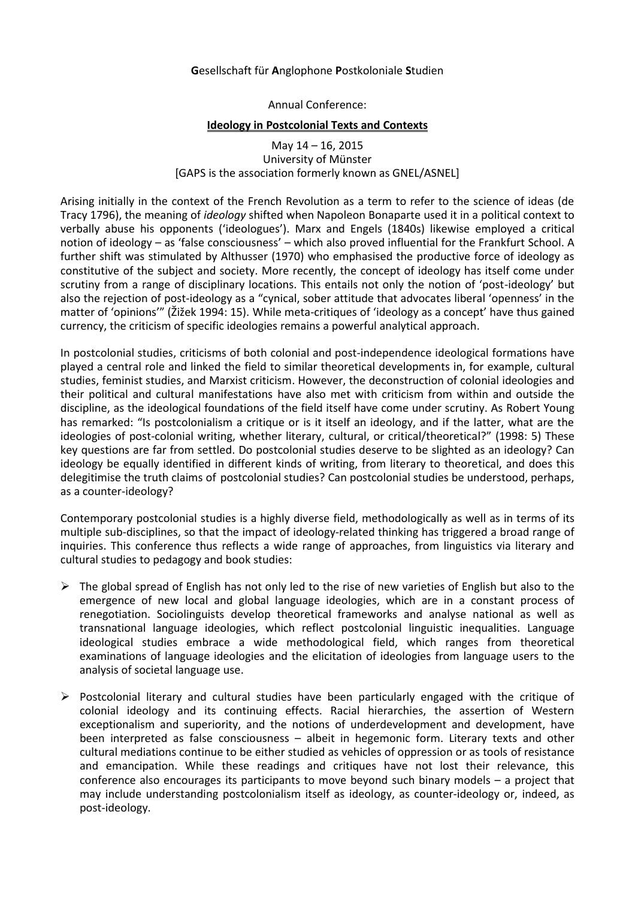## **G**esellschaft für **A**nglophone **P**ostkoloniale **S**tudien

Annual Conference:

## **Ideology in Postcolonial Texts and Contexts**

May 14 – 16, 2015 University of Münster [GAPS is the association formerly known as GNEL/ASNEL]

Arising initially in the context of the French Revolution as a term to refer to the science of ideas (de Tracy 1796), the meaning of *ideology* shifted when Napoleon Bonaparte used it in a political context to verbally abuse his opponents ('ideologues'). Marx and Engels (1840s) likewise employed a critical notion of ideology – as 'false consciousness' – which also proved influential for the Frankfurt School. A further shift was stimulated by Althusser (1970) who emphasised the productive force of ideology as constitutive of the subject and society. More recently, the concept of ideology has itself come under scrutiny from a range of disciplinary locations. This entails not only the notion of 'post-ideology' but also the rejection of post-ideology as a "cynical, sober attitude that advocates liberal 'openness' in the matter of 'opinions'" (Žižek 1994: 15). While meta-critiques of 'ideology as a concept' have thus gained currency, the criticism of specific ideologies remains a powerful analytical approach.

In postcolonial studies, criticisms of both colonial and post-independence ideological formations have played a central role and linked the field to similar theoretical developments in, for example, cultural studies, feminist studies, and Marxist criticism. However, the deconstruction of colonial ideologies and their political and cultural manifestations have also met with criticism from within and outside the discipline, as the ideological foundations of the field itself have come under scrutiny. As Robert Young has remarked: "Is postcolonialism a critique or is it itself an ideology, and if the latter, what are the ideologies of post-colonial writing, whether literary, cultural, or critical/theoretical?" (1998: 5) These key questions are far from settled. Do postcolonial studies deserve to be slighted as an ideology? Can ideology be equally identified in different kinds of writing, from literary to theoretical, and does this delegitimise the truth claims of postcolonial studies? Can postcolonial studies be understood, perhaps, as a counter-ideology?

Contemporary postcolonial studies is a highly diverse field, methodologically as well as in terms of its multiple sub-disciplines, so that the impact of ideology-related thinking has triggered a broad range of inquiries. This conference thus reflects a wide range of approaches, from linguistics via literary and cultural studies to pedagogy and book studies:

- $\triangleright$  The global spread of English has not only led to the rise of new varieties of English but also to the emergence of new local and global language ideologies, which are in a constant process of renegotiation. Sociolinguists develop theoretical frameworks and analyse national as well as transnational language ideologies, which reflect postcolonial linguistic inequalities. Language ideological studies embrace a wide methodological field, which ranges from theoretical examinations of language ideologies and the elicitation of ideologies from language users to the analysis of societal language use.
- Postcolonial literary and cultural studies have been particularly engaged with the critique of colonial ideology and its continuing effects. Racial hierarchies, the assertion of Western exceptionalism and superiority, and the notions of underdevelopment and development, have been interpreted as false consciousness – albeit in hegemonic form. Literary texts and other cultural mediations continue to be either studied as vehicles of oppression or as tools of resistance and emancipation. While these readings and critiques have not lost their relevance, this conference also encourages its participants to move beyond such binary models – a project that may include understanding postcolonialism itself as ideology, as counter-ideology or, indeed, as post-ideology.